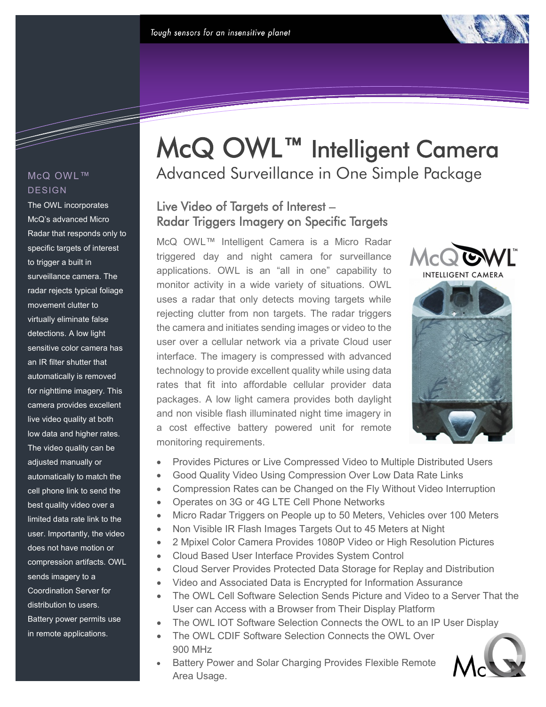

d de la década de la década de la década de la década de la década de la década de la década de la década de l<br>Casa de la década de la década de la década de la década de la década de la década de la década de la década d

The OWL incorporates McQ's advanced Micro Radar that responds only to specific targets of interest to trigger a built in surveillance camera. The radar rejects typical foliage movement clutter to virtually eliminate false detections. A low light sensitive color camera has an IR filter shutter that automatically is removed for nighttime imagery. This camera provides excellent live video quality at both low data and higher rates. The video quality can be adjusted manually or automatically to match the cell phone link to send the best quality video over a limited data rate link to the user. Importantly, the video does not have motion or compression artifacts. OWL sends imagery to a Coordination Server for distribution to users. Battery power permits use in remote applications.

# McQ OWL™ Intelligent Camera<br>Advanced Surveillance in One Simple Package

### Live Video of Targets of Interest – Radar Triggers Imagery on Specific Targets

McQ OWL™ Intelligent Camera is a Micro Radar triggered day and night camera for surveillance applications. OWL is an "all in one" capability to monitor activity in a wide variety of situations. OWL uses a radar that only detects moving targets while rejecting clutter from non targets. The radar triggers the camera and initiates sending images or video to the user over a cellular network via a private Cloud user interface. The imagery is compressed with advanced technology to provide excellent quality while using data rates that fit into affordable cellular provider data packages. A low light camera provides both daylight and non visible flash illuminated night time imagery in a cost effective battery powered unit for remote monitoring requirements.



- Provides Pictures or Live Compressed Video to Multiple Distributed Users
- Good Quality Video Using Compression Over Low Data Rate Links
- Compression Rates can be Changed on the Fly Without Video Interruption
- Operates on 3G or 4G LTE Cell Phone Networks
- Micro Radar Triggers on People up to 50 Meters, Vehicles over 100 Meters
- Non Visible IR Flash Images Targets Out to 45 Meters at Night
- 2 Mpixel Color Camera Provides 1080P Video or High Resolution Pictures
- Cloud Based User Interface Provides System Control
- Cloud Server Provides Protected Data Storage for Replay and Distribution
- Video and Associated Data is Encrypted for Information Assurance
- The OWL Cell Software Selection Sends Picture and Video to a Server That the User can Access with a Browser from Their Display Platform
- The OWL IOT Software Selection Connects the OWL to an IP User Display
- The OWL CDIF Software Selection Connects the OWL Over 900 MHz
- Battery Power and Solar Charging Provides Flexible Remote Area Usage.